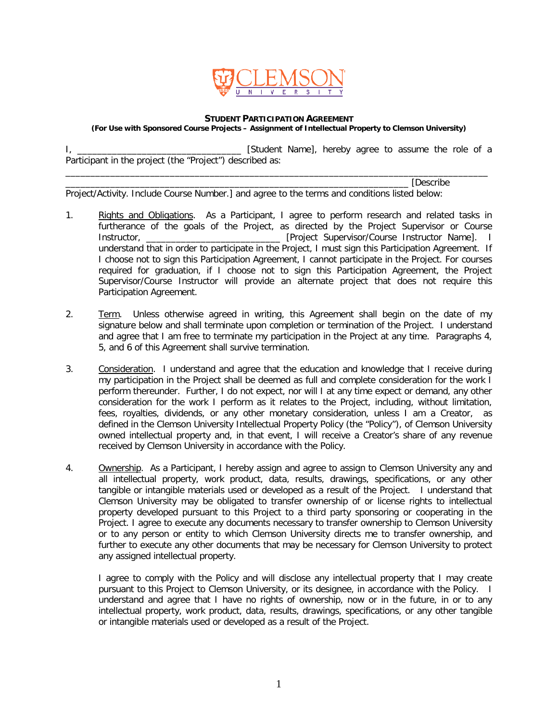

## **STUDENT PARTICIPATION AGREEMENT**

**(For Use with Sponsored Course Projects – Assignment of Intellectual Property to Clemson University)**

I, \_\_\_\_\_\_\_\_\_\_\_\_\_\_\_\_\_\_\_\_\_\_\_\_\_\_\_\_\_\_\_\_\_ [Student Name], hereby agree to assume the role of a Participant in the project (the "Project") described as: \_\_\_\_\_\_\_\_\_\_\_\_\_\_\_\_\_\_\_\_\_\_\_\_\_\_\_\_\_\_\_\_\_\_\_\_\_\_\_\_\_\_\_\_\_\_\_\_\_\_\_\_\_\_\_\_\_\_\_\_\_\_\_\_\_\_\_\_\_\_\_\_\_\_\_\_\_\_\_\_\_\_\_\_\_

\_\_\_\_\_\_\_\_\_\_\_\_\_\_\_\_\_\_\_\_\_\_\_\_\_\_\_\_\_\_\_\_\_\_\_\_\_\_\_\_\_\_\_\_\_\_\_\_\_\_\_\_\_\_\_\_\_\_\_\_\_\_\_\_\_\_\_\_\_ [Describe Project/Activity. Include Course Number.] and agree to the terms and conditions listed below:

- 1. Rights and Obligations. As a Participant, I agree to perform research and related tasks in furtherance of the goals of the Project, as directed by the Project Supervisor or Course Instructor, **All and Structor** and Terrorisor Course Instructor Name]. Instructor Name understand that in order to participate in the Project, I must sign this Participation Agreement. If I choose not to sign this Participation Agreement, I cannot participate in the Project. For courses required for graduation, if I choose not to sign this Participation Agreement, the Project Supervisor/Course Instructor will provide an alternate project that does not require this Participation Agreement.
- 2. Term. Unless otherwise agreed in writing, this Agreement shall begin on the date of my signature below and shall terminate upon completion or termination of the Project. I understand and agree that I am free to terminate my participation in the Project at any time. Paragraphs 4, 5, and 6 of this Agreement shall survive termination.
- 3. Consideration. I understand and agree that the education and knowledge that I receive during my participation in the Project shall be deemed as full and complete consideration for the work I perform thereunder. Further, I do not expect, nor will I at any time expect or demand, any other consideration for the work I perform as it relates to the Project, including, without limitation, fees, royalties, dividends, or any other monetary consideration, unless I am a Creator, as defined in the Clemson University Intellectual Property Policy (the "Policy"), of Clemson University owned intellectual property and, in that event, I will receive a Creator's share of any revenue received by Clemson University in accordance with the Policy.
- 4. Ownership. As a Participant, I hereby assign and agree to assign to Clemson University any and all intellectual property, work product, data, results, drawings, specifications, or any other tangible or intangible materials used or developed as a result of the Project. I understand that Clemson University may be obligated to transfer ownership of or license rights to intellectual property developed pursuant to this Project to a third party sponsoring or cooperating in the Project. I agree to execute any documents necessary to transfer ownership to Clemson University or to any person or entity to which Clemson University directs me to transfer ownership, and further to execute any other documents that may be necessary for Clemson University to protect any assigned intellectual property.

I agree to comply with the Policy and will disclose any intellectual property that I may create pursuant to this Project to Clemson University, or its designee, in accordance with the Policy. I understand and agree that I have no rights of ownership, now or in the future, in or to any intellectual property, work product, data, results, drawings, specifications, or any other tangible or intangible materials used or developed as a result of the Project.